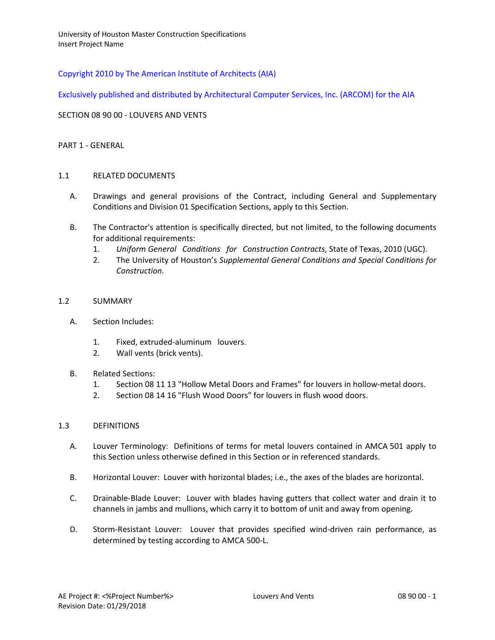# Copyright 2010 by The American Institute of Architects (AIA)

Exclusively published and distributed by Architectural Computer Services, Inc. (ARCOM) for the AIA

### SECTION 08 90 00 - LOUVERS AND VENTS

#### PART 1 - GENERAL

### 1.1 RELATED DOCUMENTS

- A. Drawings and general provisions of the Contract, including General and Supplementary Conditions and Division 01 Specification Sections, apply to this Section.
- B. The Contractor's attention is specifically directed, but not limited, to the following documents for additional requirements:
	- 1. *Uniform General Conditions for Construction Contracts*, State of Texas, 2010 (UGC).
	- 2. The University of Houston's *Supplemental General Conditions and Special Conditions for Construction.*

#### 1.2 SUMMARY

- A. Section Includes:
	- 1. Fixed, extruded-aluminum louvers.
	- 2. Wall vents (brick vents).

#### B. Related Sections:

- 1. Section 08 11 13 "Hollow Metal Doors and Frames" for louvers in hollow-metal doors.
- 2. Section 08 14 16 "Flush Wood Doors" for louvers in flush wood doors.

#### 1.3 DEFINITIONS

- A. Louver Terminology: Definitions of terms for metal louvers contained in AMCA 501 apply to this Section unless otherwise defined in this Section or in referenced standards.
- B. Horizontal Louver: Louver with horizontal blades; i.e., the axes of the blades are horizontal.
- C. Drainable-Blade Louver: Louver with blades having gutters that collect water and drain it to channels in jambs and mullions, which carry it to bottom of unit and away from opening.
- D. Storm-Resistant Louver: Louver that provides specified wind-driven rain performance, as determined by testing according to AMCA 500-L.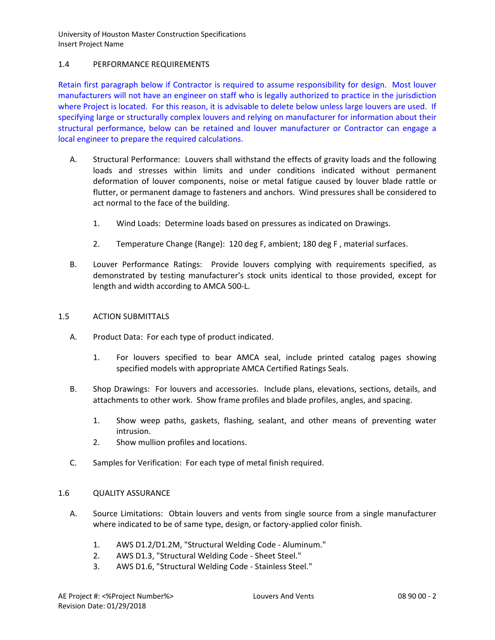# 1.4 PERFORMANCE REQUIREMENTS

Retain first paragraph below if Contractor is required to assume responsibility for design. Most louver manufacturers will not have an engineer on staff who is legally authorized to practice in the jurisdiction where Project is located. For this reason, it is advisable to delete below unless large louvers are used. If specifying large or structurally complex louvers and relying on manufacturer for information about their structural performance, below can be retained and louver manufacturer or Contractor can engage a local engineer to prepare the required calculations.

- A. Structural Performance: Louvers shall withstand the effects of gravity loads and the following loads and stresses within limits and under conditions indicated without permanent deformation of louver components, noise or metal fatigue caused by louver blade rattle or flutter, or permanent damage to fasteners and anchors. Wind pressures shall be considered to act normal to the face of the building.
	- 1. Wind Loads: Determine loads based on pressures as indicated on Drawings.
	- 2. Temperature Change (Range): 120 deg F, ambient; 180 deg F , material surfaces.
- B. Louver Performance Ratings: Provide louvers complying with requirements specified, as demonstrated by testing manufacturer's stock units identical to those provided, except for length and width according to AMCA 500-L.

## 1.5 ACTION SUBMITTALS

- A. Product Data: For each type of product indicated.
	- 1. For louvers specified to bear AMCA seal, include printed catalog pages showing specified models with appropriate AMCA Certified Ratings Seals.
- B. Shop Drawings: For louvers and accessories. Include plans, elevations, sections, details, and attachments to other work. Show frame profiles and blade profiles, angles, and spacing.
	- 1. Show weep paths, gaskets, flashing, sealant, and other means of preventing water intrusion.
	- 2. Show mullion profiles and locations.
- C. Samples for Verification: For each type of metal finish required.

# 1.6 QUALITY ASSURANCE

- A. Source Limitations: Obtain louvers and vents from single source from a single manufacturer where indicated to be of same type, design, or factory-applied color finish.
	- 1. AWS D1.2/D1.2M, "Structural Welding Code Aluminum."
	- 2. AWS D1.3, "Structural Welding Code Sheet Steel."
	- 3. AWS D1.6, "Structural Welding Code Stainless Steel."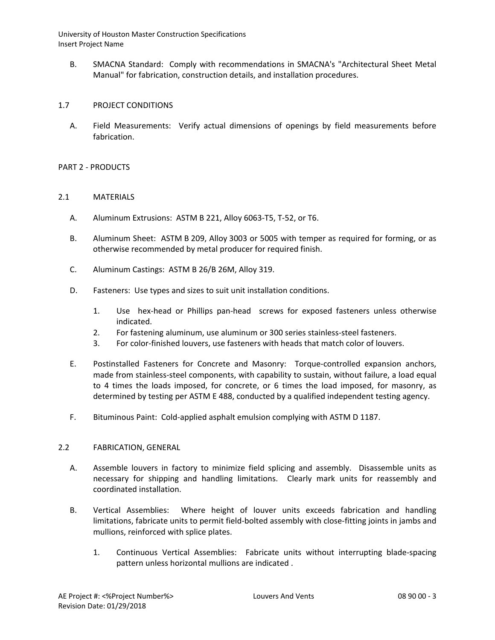B. SMACNA Standard: Comply with recommendations in SMACNA's "Architectural Sheet Metal Manual" for fabrication, construction details, and installation procedures.

# 1.7 PROJECT CONDITIONS

A. Field Measurements: Verify actual dimensions of openings by field measurements before fabrication.

# PART 2 - PRODUCTS

### 2.1 MATERIALS

- A. Aluminum Extrusions: ASTM B 221, Alloy 6063-T5, T-52, or T6.
- B. Aluminum Sheet: ASTM B 209, Alloy 3003 or 5005 with temper as required for forming, or as otherwise recommended by metal producer for required finish.
- C. Aluminum Castings: ASTM B 26/B 26M, Alloy 319.
- D. Fasteners: Use types and sizes to suit unit installation conditions.
	- 1. Use hex-head or Phillips pan-head screws for exposed fasteners unless otherwise indicated.
	- 2. For fastening aluminum, use aluminum or 300 series stainless-steel fasteners.
	- 3. For color-finished louvers, use fasteners with heads that match color of louvers.
- E. Postinstalled Fasteners for Concrete and Masonry: Torque-controlled expansion anchors, made from stainless-steel components, with capability to sustain, without failure, a load equal to 4 times the loads imposed, for concrete, or 6 times the load imposed, for masonry, as determined by testing per ASTM E 488, conducted by a qualified independent testing agency.
- F. Bituminous Paint: Cold-applied asphalt emulsion complying with ASTM D 1187.

#### 2.2 FABRICATION, GENERAL

- A. Assemble louvers in factory to minimize field splicing and assembly. Disassemble units as necessary for shipping and handling limitations. Clearly mark units for reassembly and coordinated installation.
- B. Vertical Assemblies: Where height of louver units exceeds fabrication and handling limitations, fabricate units to permit field-bolted assembly with close-fitting joints in jambs and mullions, reinforced with splice plates.
	- 1. Continuous Vertical Assemblies: Fabricate units without interrupting blade-spacing pattern unless horizontal mullions are indicated .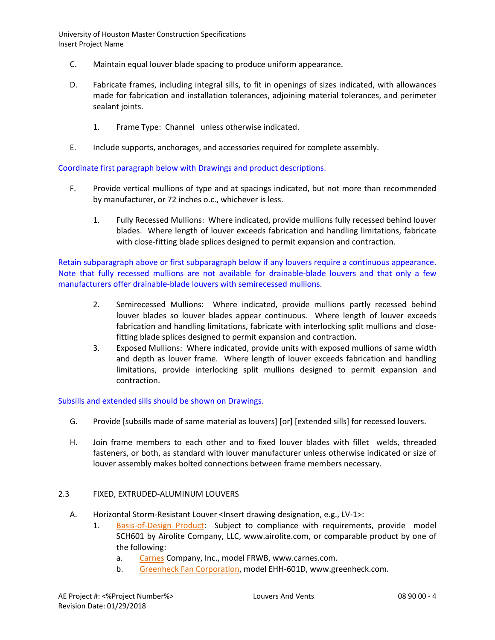- C. Maintain equal louver blade spacing to produce uniform appearance.
- D. Fabricate frames, including integral sills, to fit in openings of sizes indicated, with allowances made for fabrication and installation tolerances, adjoining material tolerances, and perimeter sealant joints.
	- 1. Frame Type: Channel unless otherwise indicated.
- E. Include supports, anchorages, and accessories required for complete assembly.

Coordinate first paragraph below with Drawings and product descriptions.

- F. Provide vertical mullions of type and at spacings indicated, but not more than recommended by manufacturer, or 72 inches o.c., whichever is less.
	- 1. Fully Recessed Mullions: Where indicated, provide mullions fully recessed behind louver blades. Where length of louver exceeds fabrication and handling limitations, fabricate with close-fitting blade splices designed to permit expansion and contraction.

Retain subparagraph above or first subparagraph below if any louvers require a continuous appearance. Note that fully recessed mullions are not available for drainable-blade louvers and that only a few manufacturers offer drainable-blade louvers with semirecessed mullions.

- 2. Semirecessed Mullions: Where indicated, provide mullions partly recessed behind louver blades so louver blades appear continuous. Where length of louver exceeds fabrication and handling limitations, fabricate with interlocking split mullions and closefitting blade splices designed to permit expansion and contraction.
- 3. Exposed Mullions: Where indicated, provide units with exposed mullions of same width and depth as louver frame. Where length of louver exceeds fabrication and handling limitations, provide interlocking split mullions designed to permit expansion and contraction.

Subsills and extended sills should be shown on Drawings.

- G. Provide [subsills made of same material as louvers] [or] [extended sills] for recessed louvers.
- H. Join frame members to each other and to fixed louver blades with fillet welds, threaded fasteners, or both, as standard with louver manufacturer unless otherwise indicated or size of louver assembly makes bolted connections between frame members necessary.

# 2.3 FIXED, EXTRUDED-ALUMINUM LOUVERS

- A. Horizontal Storm-Resistant Louver <Insert drawing designation, e.g., LV-1>:
	- 1. [Basis-of-Design Product:](http://www.specagent.com/LookUp/?ulid=204&mf=04&src=wd) Subject to compliance with requirements, provide model SCH601 by Airolite Company, LLC, www.airolite.com, or comparable product by one of the following:
		- a. [Carnes](http://www.specagent.com/LookUp/?uid=123456791804&mf=04&src=wd) Company, Inc., model FRWB, www.carnes.com.
		- b. [Greenheck Fan Corporation,](http://www.specagent.com/LookUp/?uid=123456791807&mf=04&src=wd) model EHH-601D, www.greenheck.com.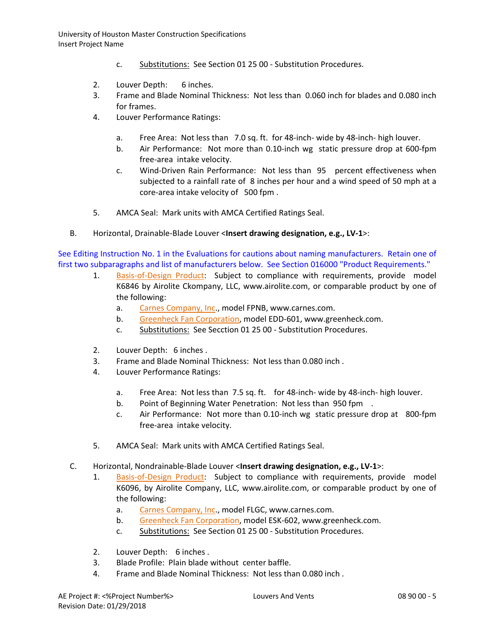- c. Substitutions: See Section 01 25 00 Substitution Procedures.
- 2. Louver Depth: 6 inches.
- 3. Frame and Blade Nominal Thickness: Not less than 0.060 inch for blades and 0.080 inch for frames.
- 4. Louver Performance Ratings:
	- a. Free Area: Not less than 7.0 sq. ft. for 48-inch- wide by 48-inch- high louver.
	- b. Air Performance: Not more than 0.10-inch wg static pressure drop at 600-fpm free-area intake velocity.
	- c. Wind-Driven Rain Performance: Not less than 95 percent effectiveness when subjected to a rainfall rate of 8 inches per hour and a wind speed of 50 mph at a core-area intake velocity of 500 fpm .
- 5. AMCA Seal: Mark units with AMCA Certified Ratings Seal.
- B. Horizontal, Drainable-Blade Louver <**Insert drawing designation, e.g., LV-1**>:

See Editing Instruction No. 1 in the Evaluations for cautions about naming manufacturers. Retain one of first two subparagraphs and list of manufacturers below. See Section 016000 "Product Requirements."

- 1. [Basis-of-Design Product:](http://www.specagent.com/LookUp/?ulid=206&mf=04&src=wd) Subject to compliance with requirements, provide model K6846 by Airolite Ckompany, LLC, www.airolite.com, or comparable product by one of the following:
	- a. [Carnes Company, Inc.](http://www.specagent.com/LookUp/?uid=123456791854&mf=04&src=wd), model FPNB, www.carnes.com.
	- b. [Greenheck Fan Corporation,](http://www.specagent.com/LookUp/?uid=123456791859&mf=04&src=wd) model EDD-601, www.greenheck.com.
	- c. Substitutions: See Secction 01 25 00 Substitution Procedures.
- 2. Louver Depth: 6 inches .
- 3. Frame and Blade Nominal Thickness: Not less than 0.080 inch .
- 4. Louver Performance Ratings:
	- a. Free Area: Not less than 7.5 sq. ft. for 48-inch- wide by 48-inch- high louver.
	- b. Point of Beginning Water Penetration: Not less than 950 fpm.
	- c. Air Performance: Not more than 0.10-inch wg static pressure drop at 800-fpm free-area intake velocity.
- 5. AMCA Seal: Mark units with AMCA Certified Ratings Seal.
- C. Horizontal, Nondrainable-Blade Louver <**Insert drawing designation, e.g., LV-1**>:
	- 1. [Basis-of-Design Product:](http://www.specagent.com/LookUp/?ulid=209&mf=04&src=wd) Subject to compliance with requirements, provide model K6096, by Airolite Company, LLC, www.airolite.com, or comparable product by one of the following:
		- a. [Carnes Company, Inc.](http://www.specagent.com/LookUp/?uid=123456791939&mf=04&src=wd), model FLGC, www.carnes.com.
		- b. [Greenheck Fan Corporation,](http://www.specagent.com/LookUp/?uid=123456791945&mf=04&src=wd) model ESK-602, www.greenheck.com.
		- c. Substitutions: See Section 01 25 00 Substitution Procedures.
	- 2. Louver Depth: 6 inches .
	- 3. Blade Profile: Plain blade without center baffle.
	- 4. Frame and Blade Nominal Thickness: Not less than 0.080 inch .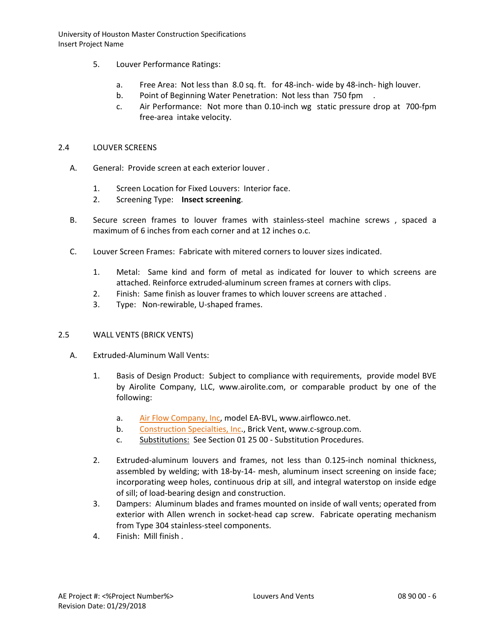- 5. Louver Performance Ratings:
	- a. Free Area: Not less than 8.0 sq. ft. for 48-inch- wide by 48-inch- high louver.
	- b. Point of Beginning Water Penetration: Not less than 750 fpm .
	- c. Air Performance: Not more than 0.10-inch wg static pressure drop at 700-fpm free-area intake velocity.

### 2.4 LOUVER SCREENS

- A. General: Provide screen at each exterior louver .
	- 1. Screen Location for Fixed Louvers: Interior face.
	- 2. Screening Type: **Insect screening**.
- B. Secure screen frames to louver frames with stainless-steel machine screws , spaced a maximum of 6 inches from each corner and at 12 inches o.c.
- C. Louver Screen Frames: Fabricate with mitered corners to louver sizes indicated.
	- 1. Metal: Same kind and form of metal as indicated for louver to which screens are attached. Reinforce extruded-aluminum screen frames at corners with clips.
	- 2. Finish: Same finish as louver frames to which louver screens are attached .
	- 3. Type: Non-rewirable, U-shaped frames.

# 2.5 WALL VENTS (BRICK VENTS)

- A. Extruded-Aluminum Wall Vents:
	- 1. Basis of Design Product: Subject to compliance with requirements, provide model BVE by Airolite Company, LLC, www.airolite.com, or comparable product by one of the following:
		- a. [Air Flow Company, Inc,](http://www.specagent.com/LookUp/?uid=123456792243&mf=04&src=wd) model EA-BVL, www.airflowco.net.
		- b. [Construction Specialties, Inc.](http://www.specagent.com/LookUp/?uid=123456792250&mf=04&src=wd), Brick Vent, www.c-sgroup.com.
		- c. Substitutions: See Section 01 25 00 Substitution Procedures.
	- 2. Extruded-aluminum louvers and frames, not less than 0.125-inch nominal thickness, assembled by welding; with 18-by-14- mesh, aluminum insect screening on inside face; incorporating weep holes, continuous drip at sill, and integral waterstop on inside edge of sill; of load-bearing design and construction.
	- 3. Dampers: Aluminum blades and frames mounted on inside of wall vents; operated from exterior with Allen wrench in socket-head cap screw. Fabricate operating mechanism from Type 304 stainless-steel components.
	- 4. Finish: Mill finish .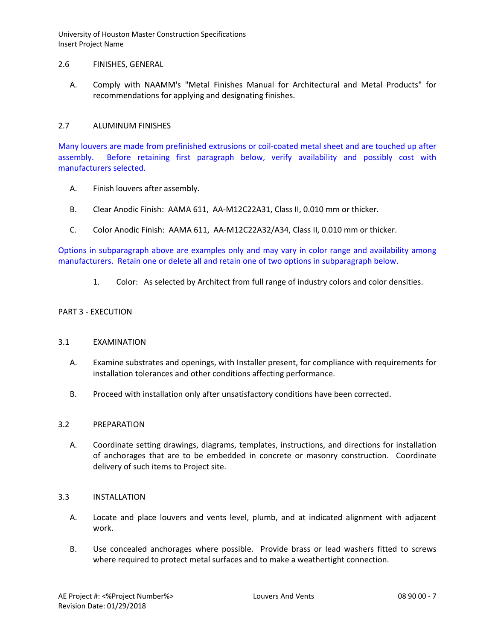### 2.6 FINISHES, GENERAL

A. Comply with NAAMM's "Metal Finishes Manual for Architectural and Metal Products" for recommendations for applying and designating finishes.

## 2.7 ALUMINUM FINISHES

Many louvers are made from prefinished extrusions or coil-coated metal sheet and are touched up after assembly. Before retaining first paragraph below, verify availability and possibly cost with manufacturers selected.

- A. Finish louvers after assembly.
- B. Clear Anodic Finish: AAMA 611, AA-M12C22A31, Class II, 0.010 mm or thicker.
- C. Color Anodic Finish: AAMA 611, AA-M12C22A32/A34, Class II, 0.010 mm or thicker.

Options in subparagraph above are examples only and may vary in color range and availability among manufacturers. Retain one or delete all and retain one of two options in subparagraph below.

1. Color: As selected by Architect from full range of industry colors and color densities.

# PART 3 - EXECUTION

### 3.1 EXAMINATION

- A. Examine substrates and openings, with Installer present, for compliance with requirements for installation tolerances and other conditions affecting performance.
- B. Proceed with installation only after unsatisfactory conditions have been corrected.

#### 3.2 PREPARATION

A. Coordinate setting drawings, diagrams, templates, instructions, and directions for installation of anchorages that are to be embedded in concrete or masonry construction. Coordinate delivery of such items to Project site.

#### 3.3 INSTALLATION

- A. Locate and place louvers and vents level, plumb, and at indicated alignment with adjacent work.
- B. Use concealed anchorages where possible. Provide brass or lead washers fitted to screws where required to protect metal surfaces and to make a weathertight connection.